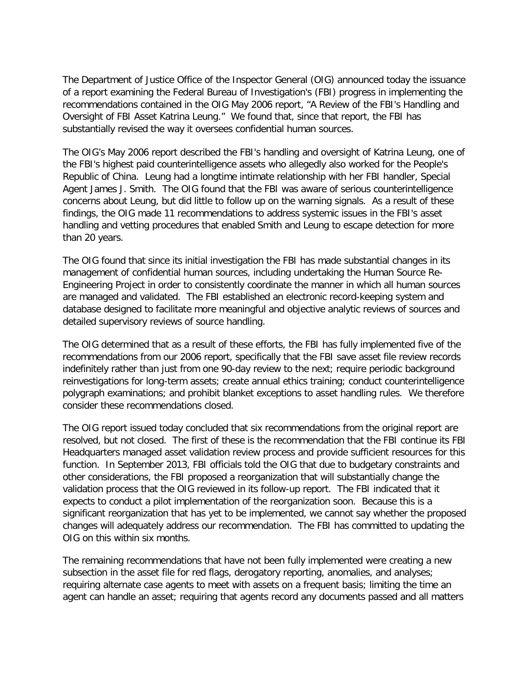The Department of Justice Office of the Inspector General (OIG) announced today the issuance of a report examining the Federal Bureau of Investigation's (FBI) progress in implementing the recommendations contained in the OIG May 2006 report, "A Review of the FBI's Handling and Oversight of FBI Asset Katrina Leung." We found that, since that report, the FBI has substantially revised the way it oversees confidential human sources.

The OIG's May 2006 report described the FBI's handling and oversight of Katrina Leung, one of the FBI's highest paid counterintelligence assets who allegedly also worked for the People's Republic of China. Leung had a longtime intimate relationship with her FBI handler, Special Agent James J. Smith. The OIG found that the FBI was aware of serious counterintelligence concerns about Leung, but did little to follow up on the warning signals. As a result of these findings, the OIG made 11 recommendations to address systemic issues in the FBI's asset handling and vetting procedures that enabled Smith and Leung to escape detection for more than 20 years.

The OIG found that since its initial investigation the FBI has made substantial changes in its management of confidential human sources, including undertaking the Human Source Re-Engineering Project in order to consistently coordinate the manner in which all human sources are managed and validated. The FBI established an electronic record-keeping system and database designed to facilitate more meaningful and objective analytic reviews of sources and detailed supervisory reviews of source handling.

The OIG determined that as a result of these efforts, the FBI has fully implemented five of the recommendations from our 2006 report, specifically that the FBI save asset file review records indefinitely rather than just from one 90-day review to the next; require periodic background reinvestigations for long-term assets; create annual ethics training; conduct counterintelligence polygraph examinations; and prohibit blanket exceptions to asset handling rules. We therefore consider these recommendations closed.

The OIG report issued today concluded that six recommendations from the original report are resolved, but not closed. The first of these is the recommendation that the FBI continue its FBI Headquarters managed asset validation review process and provide sufficient resources for this function. In September 2013, FBI officials told the OIG that due to budgetary constraints and other considerations, the FBI proposed a reorganization that will substantially change the validation process that the OIG reviewed in its follow-up report. The FBI indicated that it expects to conduct a pilot implementation of the reorganization soon. Because this is a significant reorganization that has yet to be implemented, we cannot say whether the proposed changes will adequately address our recommendation. The FBI has committed to updating the OIG on this within six months.

The remaining recommendations that have not been fully implemented were creating a new subsection in the asset file for red flags, derogatory reporting, anomalies, and analyses; requiring alternate case agents to meet with assets on a frequent basis; limiting the time an agent can handle an asset; requiring that agents record any documents passed and all matters